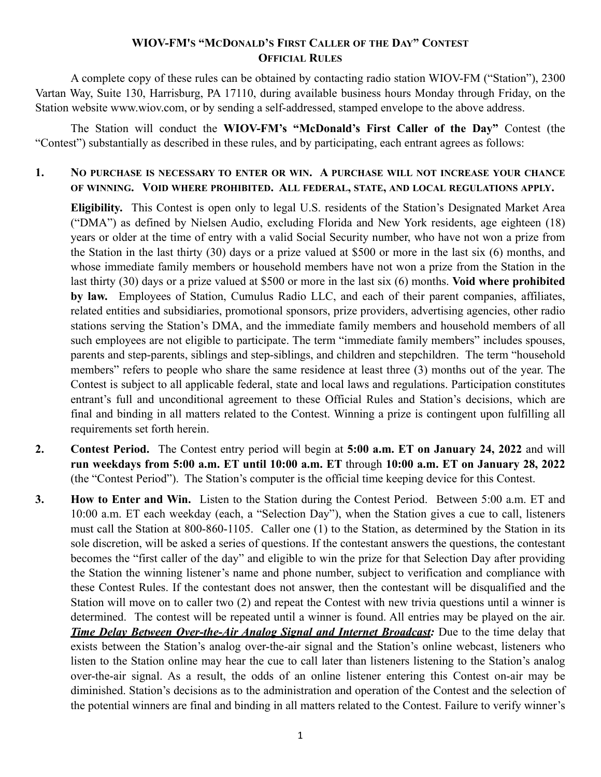## **WIOV-FM'S "MCDONALD'S FIRST CALLER OF THE DAY" CONTEST OFFICIAL RULES**

A complete copy of these rules can be obtained by contacting radio station WIOV-FM ("Station"), 2300 Vartan Way, Suite 130, Harrisburg, PA 17110, during available business hours Monday through Friday, on the Station website www.wiov.com, or by sending a self-addressed, stamped envelope to the above address.

The Station will conduct the **WIOV-FM's "McDonald's First Caller of the Day"** Contest (the "Contest") substantially as described in these rules, and by participating, each entrant agrees as follows:

**1. NO PURCHASE IS NECESSARY TO ENTER OR WIN. A PURCHASE WILL NOT INCREASE YOUR CHANCE OF WINNING. VOID WHERE PROHIBITED. ALL FEDERAL, STATE, AND LOCAL REGULATIONS APPLY.**

**Eligibility.** This Contest is open only to legal U.S. residents of the Station's Designated Market Area ("DMA") as defined by Nielsen Audio, excluding Florida and New York residents, age eighteen (18) years or older at the time of entry with a valid Social Security number, who have not won a prize from the Station in the last thirty (30) days or a prize valued at \$500 or more in the last six (6) months, and whose immediate family members or household members have not won a prize from the Station in the last thirty (30) days or a prize valued at \$500 or more in the last six (6) months. **Void where prohibited by law.** Employees of Station, Cumulus Radio LLC, and each of their parent companies, affiliates, related entities and subsidiaries, promotional sponsors, prize providers, advertising agencies, other radio stations serving the Station's DMA, and the immediate family members and household members of all such employees are not eligible to participate. The term "immediate family members" includes spouses, parents and step-parents, siblings and step-siblings, and children and stepchildren. The term "household members" refers to people who share the same residence at least three (3) months out of the year. The Contest is subject to all applicable federal, state and local laws and regulations. Participation constitutes entrant's full and unconditional agreement to these Official Rules and Station's decisions, which are final and binding in all matters related to the Contest. Winning a prize is contingent upon fulfilling all requirements set forth herein.

- **2. Contest Period.** The Contest entry period will begin at **5:00 a.m. ET on January 24, 2022** and will **run weekdays from 5:00 a.m. ET until 10:00 a.m. ET** through **10:00 a.m. ET on January 28, 2022**  (the "Contest Period"). The Station's computer is the official time keeping device for this Contest.
- **3. How to Enter and Win.** Listen to the Station during the Contest Period. Between 5:00 a.m. ET and 10:00 a.m. ET each weekday (each, a "Selection Day"), when the Station gives a cue to call, listeners must call the Station at 800-860-1105. Caller one (1) to the Station, as determined by the Station in its sole discretion, will be asked a series of questions. If the contestant answers the questions, the contestant becomes the "first caller of the day" and eligible to win the prize for that Selection Day after providing the Station the winning listener's name and phone number, subject to verification and compliance with these Contest Rules. If the contestant does not answer, then the contestant will be disqualified and the Station will move on to caller two (2) and repeat the Contest with new trivia questions until a winner is determined. The contest will be repeated until a winner is found. All entries may be played on the air. *Time Delay Between Over-the-Air Analog Signal and Internet Broadcast:* Due to the time delay that exists between the Station's analog over-the-air signal and the Station's online webcast, listeners who listen to the Station online may hear the cue to call later than listeners listening to the Station's analog over-the-air signal. As a result, the odds of an online listener entering this Contest on-air may be diminished. Station's decisions as to the administration and operation of the Contest and the selection of the potential winners are final and binding in all matters related to the Contest. Failure to verify winner's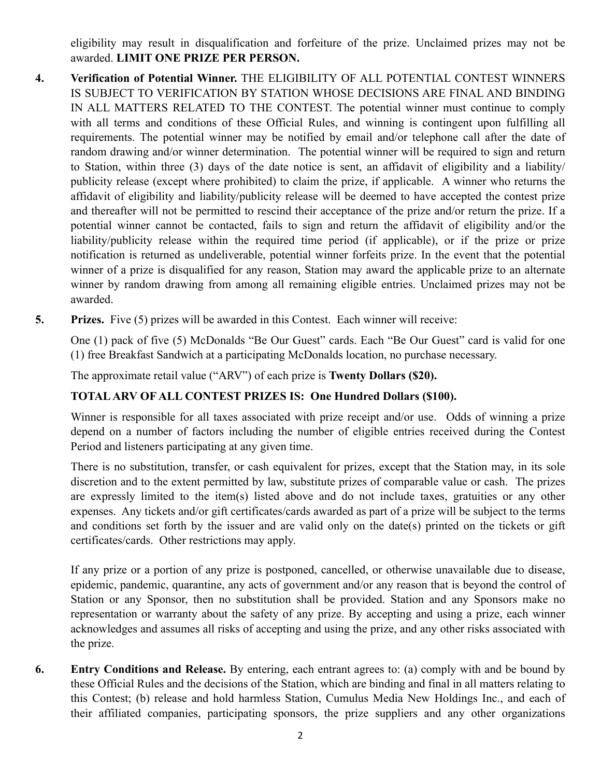eligibility may result in disqualification and forfeiture of the prize. Unclaimed prizes may not be awarded. **LIMIT ONE PRIZE PER PERSON.**

- **4. Verification of Potential Winner.** THE ELIGIBILITY OF ALL POTENTIAL CONTEST WINNERS IS SUBJECT TO VERIFICATION BY STATION WHOSE DECISIONS ARE FINAL AND BINDING IN ALL MATTERS RELATED TO THE CONTEST. The potential winner must continue to comply with all terms and conditions of these Official Rules, and winning is contingent upon fulfilling all requirements. The potential winner may be notified by email and/or telephone call after the date of random drawing and/or winner determination. The potential winner will be required to sign and return to Station, within three (3) days of the date notice is sent, an affidavit of eligibility and a liability/ publicity release (except where prohibited) to claim the prize, if applicable. A winner who returns the affidavit of eligibility and liability/publicity release will be deemed to have accepted the contest prize and thereafter will not be permitted to rescind their acceptance of the prize and/or return the prize. If a potential winner cannot be contacted, fails to sign and return the affidavit of eligibility and/or the liability/publicity release within the required time period (if applicable), or if the prize or prize notification is returned as undeliverable, potential winner forfeits prize. In the event that the potential winner of a prize is disqualified for any reason, Station may award the applicable prize to an alternate winner by random drawing from among all remaining eligible entries. Unclaimed prizes may not be awarded.
- **5. Prizes.** Five (5) prizes will be awarded in this Contest. Each winner will receive:

One (1) pack of five (5) McDonalds "Be Our Guest" cards. Each "Be Our Guest" card is valid for one (1) free Breakfast Sandwich at a participating McDonalds location, no purchase necessary.

The approximate retail value ("ARV") of each prize is **Twenty Dollars (\$20).**

## **TOTAL ARV OF ALL CONTEST PRIZES IS: One Hundred Dollars (\$100).**

Winner is responsible for all taxes associated with prize receipt and/or use. Odds of winning a prize depend on a number of factors including the number of eligible entries received during the Contest Period and listeners participating at any given time.

There is no substitution, transfer, or cash equivalent for prizes, except that the Station may, in its sole discretion and to the extent permitted by law, substitute prizes of comparable value or cash. The prizes are expressly limited to the item(s) listed above and do not include taxes, gratuities or any other expenses. Any tickets and/or gift certificates/cards awarded as part of a prize will be subject to the terms and conditions set forth by the issuer and are valid only on the date(s) printed on the tickets or gift certificates/cards. Other restrictions may apply.

If any prize or a portion of any prize is postponed, cancelled, or otherwise unavailable due to disease, epidemic, pandemic, quarantine, any acts of government and/or any reason that is beyond the control of Station or any Sponsor, then no substitution shall be provided. Station and any Sponsors make no representation or warranty about the safety of any prize. By accepting and using a prize, each winner acknowledges and assumes all risks of accepting and using the prize, and any other risks associated with the prize.

**6. Entry Conditions and Release.** By entering, each entrant agrees to: (a) comply with and be bound by these Official Rules and the decisions of the Station, which are binding and final in all matters relating to this Contest; (b) release and hold harmless Station, Cumulus Media New Holdings Inc., and each of their affiliated companies, participating sponsors, the prize suppliers and any other organizations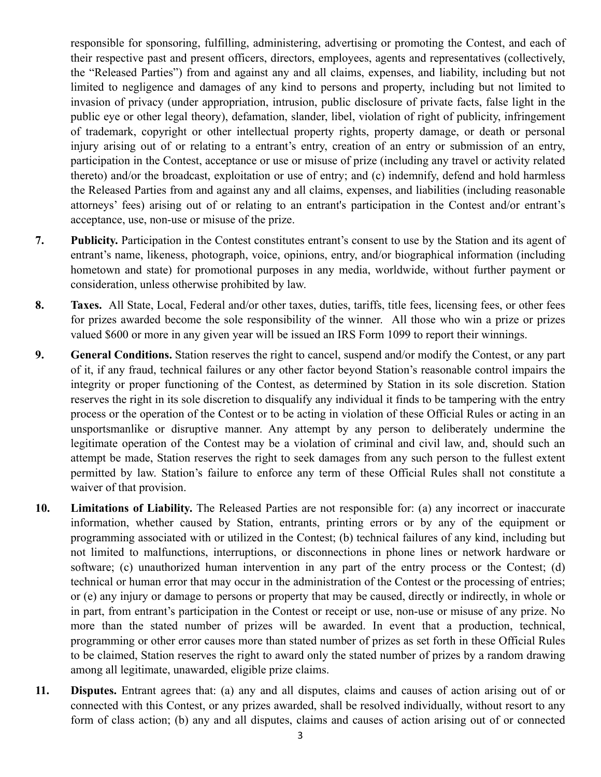responsible for sponsoring, fulfilling, administering, advertising or promoting the Contest, and each of their respective past and present officers, directors, employees, agents and representatives (collectively, the "Released Parties") from and against any and all claims, expenses, and liability, including but not limited to negligence and damages of any kind to persons and property, including but not limited to invasion of privacy (under appropriation, intrusion, public disclosure of private facts, false light in the public eye or other legal theory), defamation, slander, libel, violation of right of publicity, infringement of trademark, copyright or other intellectual property rights, property damage, or death or personal injury arising out of or relating to a entrant's entry, creation of an entry or submission of an entry, participation in the Contest, acceptance or use or misuse of prize (including any travel or activity related thereto) and/or the broadcast, exploitation or use of entry; and (c) indemnify, defend and hold harmless the Released Parties from and against any and all claims, expenses, and liabilities (including reasonable attorneys' fees) arising out of or relating to an entrant's participation in the Contest and/or entrant's acceptance, use, non-use or misuse of the prize.

- **7. Publicity.** Participation in the Contest constitutes entrant's consent to use by the Station and its agent of entrant's name, likeness, photograph, voice, opinions, entry, and/or biographical information (including hometown and state) for promotional purposes in any media, worldwide, without further payment or consideration, unless otherwise prohibited by law.
- **8. Taxes.** All State, Local, Federal and/or other taxes, duties, tariffs, title fees, licensing fees, or other fees for prizes awarded become the sole responsibility of the winner. All those who win a prize or prizes valued \$600 or more in any given year will be issued an IRS Form 1099 to report their winnings.
- **9. General Conditions.** Station reserves the right to cancel, suspend and/or modify the Contest, or any part of it, if any fraud, technical failures or any other factor beyond Station's reasonable control impairs the integrity or proper functioning of the Contest, as determined by Station in its sole discretion. Station reserves the right in its sole discretion to disqualify any individual it finds to be tampering with the entry process or the operation of the Contest or to be acting in violation of these Official Rules or acting in an unsportsmanlike or disruptive manner. Any attempt by any person to deliberately undermine the legitimate operation of the Contest may be a violation of criminal and civil law, and, should such an attempt be made, Station reserves the right to seek damages from any such person to the fullest extent permitted by law. Station's failure to enforce any term of these Official Rules shall not constitute a waiver of that provision.
- **10. Limitations of Liability.** The Released Parties are not responsible for: (a) any incorrect or inaccurate information, whether caused by Station, entrants, printing errors or by any of the equipment or programming associated with or utilized in the Contest; (b) technical failures of any kind, including but not limited to malfunctions, interruptions, or disconnections in phone lines or network hardware or software; (c) unauthorized human intervention in any part of the entry process or the Contest; (d) technical or human error that may occur in the administration of the Contest or the processing of entries; or (e) any injury or damage to persons or property that may be caused, directly or indirectly, in whole or in part, from entrant's participation in the Contest or receipt or use, non-use or misuse of any prize. No more than the stated number of prizes will be awarded. In event that a production, technical, programming or other error causes more than stated number of prizes as set forth in these Official Rules to be claimed, Station reserves the right to award only the stated number of prizes by a random drawing among all legitimate, unawarded, eligible prize claims.
- **11. Disputes.** Entrant agrees that: (a) any and all disputes, claims and causes of action arising out of or connected with this Contest, or any prizes awarded, shall be resolved individually, without resort to any form of class action; (b) any and all disputes, claims and causes of action arising out of or connected